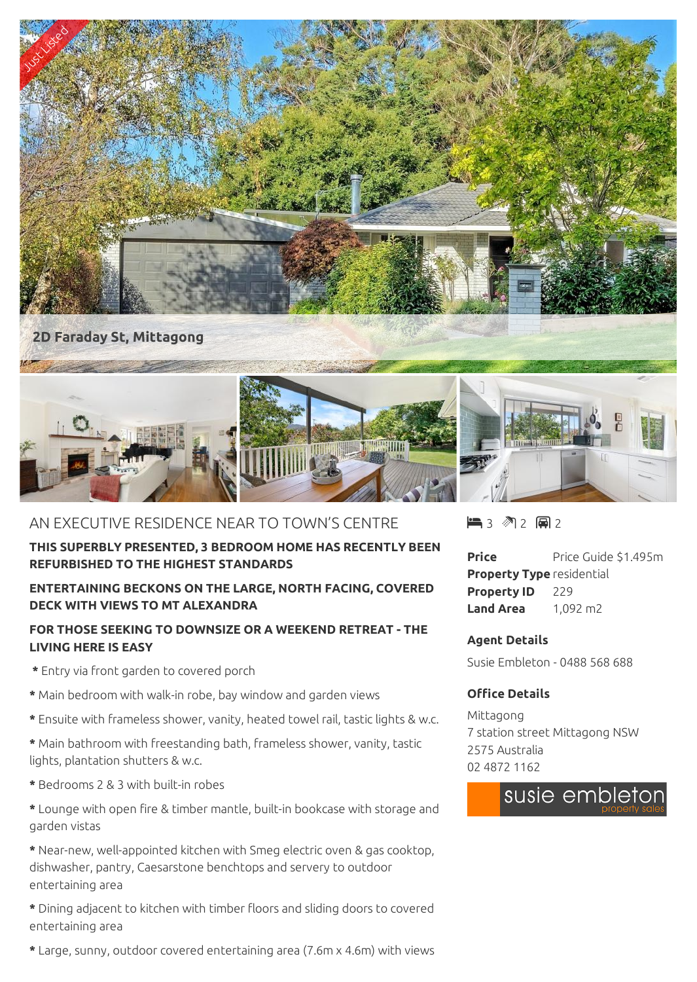

# AN EXECUTIVE RESIDENCE NEAR TO TOWN'S CENTRE

### **THIS SUPERBLY PRESENTED, 3 BEDROOM HOME HAS RECENTLY BEEN REFURBISHED TO THE HIGHEST STANDARDS**

## **ENTERTAINING BECKONS ON THE LARGE, NORTH FACING, COVERED DECK WITH VIEWS TO MT ALEXANDRA**

## **FOR THOSE SEEKING TO DOWNSIZE OR A WEEKEND RETREAT - THE LIVING HERE IS EASY**

- **\*** Entry via front garden to covered porch
- **\*** Main bedroom with walk-in robe, bay window and garden views
- **\*** Ensuite with frameless shower, vanity, heated towel rail, tastic lights & w.c.
- **\*** Main bathroom with freestanding bath, frameless shower, vanity, tastic lights, plantation shutters & w.c.
- **\*** Bedrooms 2 & 3 with built-in robes
- **\*** Lounge with open fire & timber mantle, built-in bookcase with storage and garden vistas

**\*** Near-new, well-appointed kitchen with Smeg electric oven & gas cooktop, dishwasher, pantry, Caesarstone benchtops and servery to outdoor entertaining area

**\*** Dining adjacent to kitchen with timber floors and sliding doors to covered entertaining area

**\*** Large, sunny, outdoor covered entertaining area (7.6m x 4.6m) with views

 $\blacksquare$  3 2 2 2 2

**Price** Price Guide \$1.495m **Property Type** residential **Property ID** 229 **Land Area** 1,092 m2

#### **Agent Details**

Susie Embleton - 0488 568 688

### **Office Details**

Mittagong 7 station street Mittagong NSW 2575 Australia 02 4872 1162